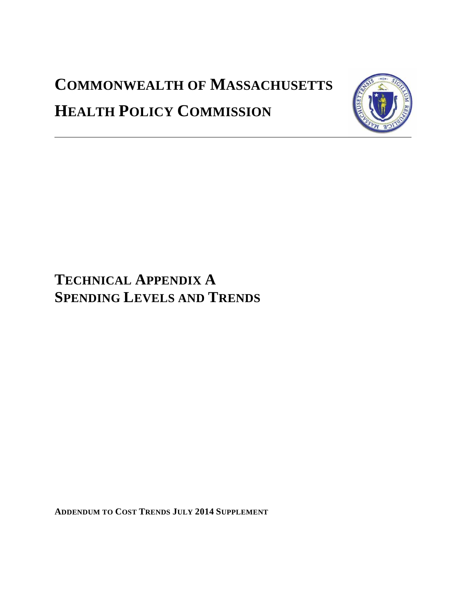# **COMMONWEALTH OF MASSACHUSETTS HEALTH POLICY COMMISSION**



# **TECHNICAL APPENDIX A SPENDING LEVELS AND TRENDS**

**ADDENDUM TO COST TRENDS JULY 2014 SUPPLEMENT**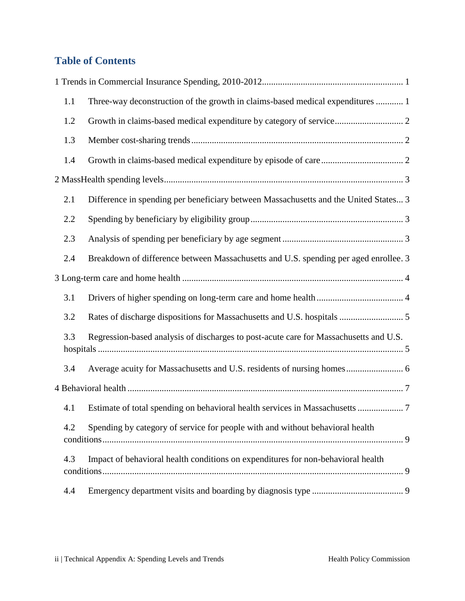# **Table of Contents**

| 1.1 | Three-way deconstruction of the growth in claims-based medical expenditures  1        |  |
|-----|---------------------------------------------------------------------------------------|--|
| 1.2 |                                                                                       |  |
| 1.3 |                                                                                       |  |
| 1.4 |                                                                                       |  |
|     |                                                                                       |  |
| 2.1 | Difference in spending per beneficiary between Massachusetts and the United States 3  |  |
| 2.2 |                                                                                       |  |
| 2.3 |                                                                                       |  |
| 2.4 | Breakdown of difference between Massachusetts and U.S. spending per aged enrollee. 3  |  |
|     |                                                                                       |  |
| 3.1 |                                                                                       |  |
| 3.2 |                                                                                       |  |
| 3.3 | Regression-based analysis of discharges to post-acute care for Massachusetts and U.S. |  |
| 3.4 |                                                                                       |  |
|     |                                                                                       |  |
| 4.1 | Estimate of total spending on behavioral health services in Massachusetts  7          |  |
| 4.2 | Spending by category of service for people with and without behavioral health         |  |
| 4.3 | Impact of behavioral health conditions on expenditures for non-behavioral health      |  |
| 4.4 |                                                                                       |  |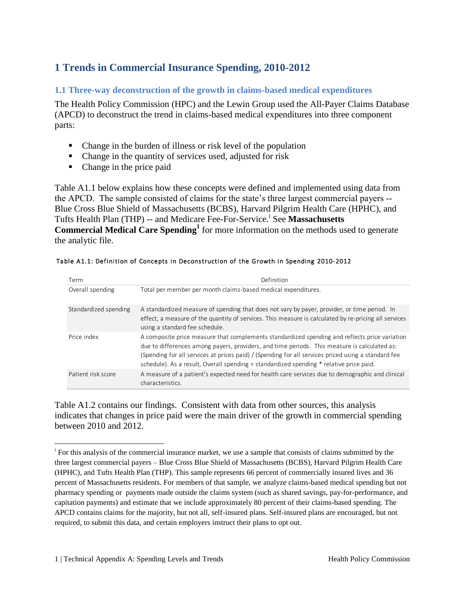# <span id="page-2-0"></span>**1 Trends in Commercial Insurance Spending, 2010-2012**

#### <span id="page-2-1"></span>**1.1 Three-way deconstruction of the growth in claims-based medical expenditures**

The Health Policy Commission (HPC) and the Lewin Group used the All-Payer Claims Database (APCD) to deconstruct the trend in claims-based medical expenditures into three component parts:

- Change in the burden of illness or risk level of the population
- Change in the quantity of services used, adjusted for risk
- Change in the price paid

Table A1.1 below explains how these concepts were defined and implemented using data from the APCD. The sample consisted of claims for the state's three largest commercial payers -- Blue Cross Blue Shield of Massachusetts (BCBS), Harvard Pilgrim Health Care (HPHC), and Tufts Health Plan (THP) -- and Medicare Fee-For-Service.<sup>i</sup> See Massachusetts **Commercial Medical Care Spending<sup>1</sup>** for more information on the methods used to generate the analytic file.

<span id="page-2-2"></span>

| Term                  | Definition                                                                                                                                                                                                                                                                                                                                                                                      |
|-----------------------|-------------------------------------------------------------------------------------------------------------------------------------------------------------------------------------------------------------------------------------------------------------------------------------------------------------------------------------------------------------------------------------------------|
| Overall spending      | Total per member per month claims-based medical expenditures.                                                                                                                                                                                                                                                                                                                                   |
| Standardized spending | A standardized measure of spending that does not vary by payer, provider, or time period. In<br>effect, a measure of the quantity of services. This measure is calculated by re-pricing all services<br>using a standard fee schedule.                                                                                                                                                          |
| Price index           | A composite price measure that complements standardized spending and reflects price variation<br>due to differences among payers, providers, and time periods. This measure is calculated as:<br>(Spending for all services at prices paid) / (Spending for all services priced using a standard fee<br>schedule). As a result, Overall spending = standardized spending * relative price paid. |
| Patient risk score    | A measure of a patient's expected need for health care services due to demographic and clinical<br>characteristics.                                                                                                                                                                                                                                                                             |

#### Table A1.1: Definition of Concepts in Deconstruction of the Growth in Spending 2010-2012

Table A1.2 contains our findings. Consistent with data from other sources, this analysis indicates that changes in price paid were the main driver of the growth in commercial spending between 2010 and 2012.

 i For this analysis of the commercial insurance market, we use a sample that consists of claims submitted by the three largest commercial payers – Blue Cross Blue Shield of Massachusetts (BCBS), Harvard Pilgrim Health Care (HPHC), and Tufts Health Plan (THP). This sample represents 66 percent of commercially insured lives and 36 percent of Massachusetts residents. For members of that sample, we analyze claims-based medical spending but not pharmacy spending or payments made outside the claims system (such as shared savings, pay-for-performance, and capitation payments) and estimate that we include approximately 80 percent of their claims-based spending. The APCD contains claims for the majority, but not all, self-insured plans. Self-insured plans are encouraged, but not required, to submit this data, and certain employers instruct their plans to opt out.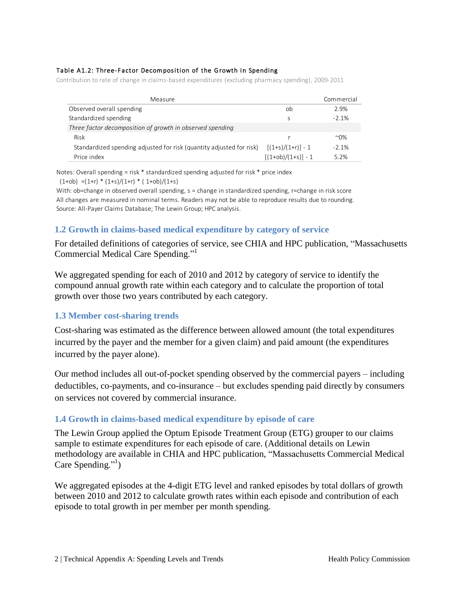#### Table A1.2: Three-Factor Decomposition of the Growth in Spending

Contribution to rate of change in claims-based expenditures (excluding pharmacy spending), 2009-2011

| Measure                                                              |                      | Commercial   |
|----------------------------------------------------------------------|----------------------|--------------|
| Observed overall spending                                            | ob                   | 2.9%         |
| Standardized spending                                                | S                    | $-2.1%$      |
| Three factor decomposition of growth in observed spending            |                      |              |
| Risk                                                                 |                      | $^{\sim}0\%$ |
| Standardized spending adjusted for risk (quantity adjusted for risk) | $[(1+s)/(1+r)] - 1$  | $-2.1%$      |
| Price index                                                          | $[(1+ob)/(1+s)] - 1$ | 5.2%         |

Notes: Overall spending = risk \* standardized spending adjusted for risk \* price index

 $(1+ob) = (1+r) * (1+s)/(1+r) * (1+ob)/(1+s)$ 

With: ob=change in observed overall spending, s = change in standardized spending, r=change in risk score All changes are measured in nominal terms. Readers may not be able to reproduce results due to rounding. Source: All-Payer Claims Database; The Lewin Group; HPC analysis.

#### <span id="page-3-0"></span>**1.2 Growth in claims-based medical expenditure by category of service**

For detailed definitions of categories of service, see CHIA and HPC publication, "Massachusetts Commercial Medical Care Spending."[1](#page-2-2)

We aggregated spending for each of 2010 and 2012 by category of service to identify the compound annual growth rate within each category and to calculate the proportion of total growth over those two years contributed by each category.

#### <span id="page-3-1"></span>**1.3 Member cost-sharing trends**

Cost-sharing was estimated as the difference between allowed amount (the total expenditures incurred by the payer and the member for a given claim) and paid amount (the expenditures incurred by the payer alone).

Our method includes all out-of-pocket spending observed by the commercial payers – including deductibles, co-payments, and co-insurance – but excludes spending paid directly by consumers on services not covered by commercial insurance.

#### <span id="page-3-2"></span>**1.4 Growth in claims-based medical expenditure by episode of care**

The Lewin Group applied the Optum Episode Treatment Group (ETG) grouper to our claims sample to estimate expenditures for each episode of care. (Additional details on Lewin methodology are available in CHIA and HPC publication, "Massachusetts Commercial Medical Care Spending."<sup>1</sup>[\)](#page-2-2)

We aggregated episodes at the 4-digit ETG level and ranked episodes by total dollars of growth between 2010 and 2012 to calculate growth rates within each episode and contribution of each episode to total growth in per member per month spending.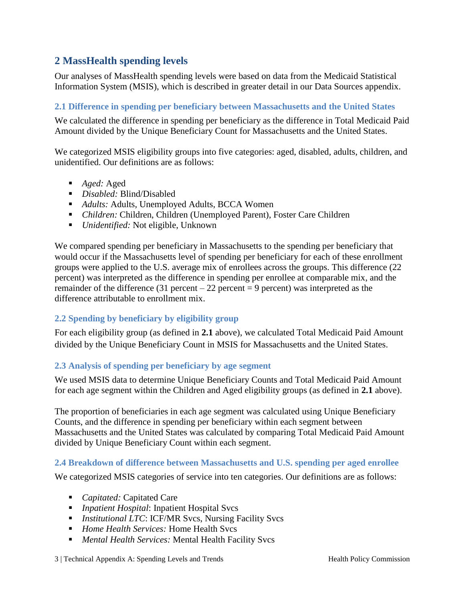# <span id="page-4-0"></span>**2 MassHealth spending levels**

Our analyses of MassHealth spending levels were based on data from the Medicaid Statistical Information System (MSIS), which is described in greater detail in our Data Sources appendix.

#### <span id="page-4-1"></span>**2.1 Difference in spending per beneficiary between Massachusetts and the United States**

We calculated the difference in spending per beneficiary as the difference in Total Medicaid Paid Amount divided by the Unique Beneficiary Count for Massachusetts and the United States.

We categorized MSIS eligibility groups into five categories: aged, disabled, adults, children, and unidentified. Our definitions are as follows:

- *Aged:* Aged
- *Disabled:* Blind/Disabled
- *Adults:* Adults, Unemployed Adults, BCCA Women
- *Children:* Children, Children (Unemployed Parent), Foster Care Children
- *Unidentified:* Not eligible, Unknown

We compared spending per beneficiary in Massachusetts to the spending per beneficiary that would occur if the Massachusetts level of spending per beneficiary for each of these enrollment groups were applied to the U.S. average mix of enrollees across the groups. This difference (22 percent) was interpreted as the difference in spending per enrollee at comparable mix, and the remainder of the difference (31 percent – 22 percent = 9 percent) was interpreted as the difference attributable to enrollment mix.

#### <span id="page-4-2"></span>**2.2 Spending by beneficiary by eligibility group**

For each eligibility group (as defined in **2.1** above), we calculated Total Medicaid Paid Amount divided by the Unique Beneficiary Count in MSIS for Massachusetts and the United States.

#### <span id="page-4-3"></span>**2.3 Analysis of spending per beneficiary by age segment**

We used MSIS data to determine Unique Beneficiary Counts and Total Medicaid Paid Amount for each age segment within the Children and Aged eligibility groups (as defined in **2.1** above).

The proportion of beneficiaries in each age segment was calculated using Unique Beneficiary Counts, and the difference in spending per beneficiary within each segment between Massachusetts and the United States was calculated by comparing Total Medicaid Paid Amount divided by Unique Beneficiary Count within each segment.

#### <span id="page-4-4"></span>**2.4 Breakdown of difference between Massachusetts and U.S. spending per aged enrollee**

We categorized MSIS categories of service into ten categories. Our definitions are as follows:

- *Capitated:* Capitated Care
- *Inpatient Hospital*: Inpatient Hospital Svcs
- *Institutional LTC*: ICF/MR Svcs, Nursing Facility Svcs
- *Home Health Services:* Home Health Svcs
- *Mental Health Services:* Mental Health Facility Svcs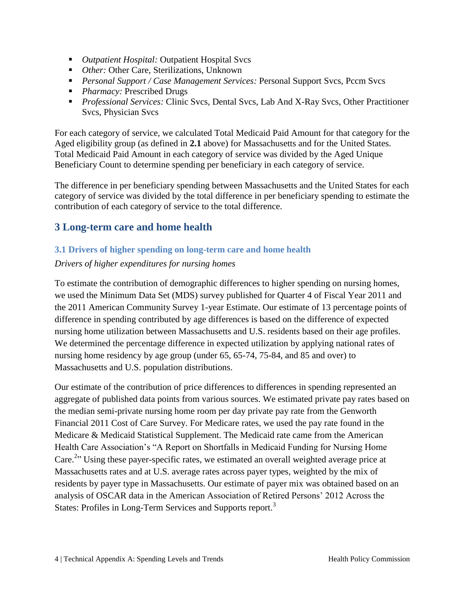- *Outpatient Hospital:* Outpatient Hospital Svcs
- *Other:* Other Care, Sterilizations, Unknown
- **Personal Support / Case Management Services: Personal Support Svcs, Pccm Svcs**
- **Pharmacy: Prescribed Drugs**
- *Professional Services:* Clinic Svcs, Dental Svcs, Lab And X-Ray Svcs, Other Practitioner Svcs, Physician Svcs

For each category of service, we calculated Total Medicaid Paid Amount for that category for the Aged eligibility group (as defined in **2.1** above) for Massachusetts and for the United States. Total Medicaid Paid Amount in each category of service was divided by the Aged Unique Beneficiary Count to determine spending per beneficiary in each category of service.

The difference in per beneficiary spending between Massachusetts and the United States for each category of service was divided by the total difference in per beneficiary spending to estimate the contribution of each category of service to the total difference.

# <span id="page-5-0"></span>**3 Long-term care and home health**

#### <span id="page-5-1"></span>**3.1 Drivers of higher spending on long-term care and home health**

#### *Drivers of higher expenditures for nursing homes*

To estimate the contribution of demographic differences to higher spending on nursing homes, we used the Minimum Data Set (MDS) survey published for Quarter 4 of Fiscal Year 2011 and the 2011 American Community Survey 1-year Estimate. Our estimate of 13 percentage points of difference in spending contributed by age differences is based on the difference of expected nursing home utilization between Massachusetts and U.S. residents based on their age profiles. We determined the percentage difference in expected utilization by applying national rates of nursing home residency by age group (under 65, 65-74, 75-84, and 85 and over) to Massachusetts and U.S. population distributions.

Our estimate of the contribution of price differences to differences in spending represented an aggregate of published data points from various sources. We estimated private pay rates based on the median semi-private nursing home room per day private pay rate from the Genworth Financial 2011 Cost of Care Survey. For Medicare rates, we used the pay rate found in the Medicare & Medicaid Statistical Supplement. The Medicaid rate came from the American Health Care Association's "A Report on Shortfalls in Medicaid Funding for Nursing Home Care.<sup>2</sup>" Using these payer-specific rates, we estimated an overall weighted average price at Massachusetts rates and at U.S. average rates across payer types, weighted by the mix of residents by payer type in Massachusetts. Our estimate of payer mix was obtained based on an analysis of OSCAR data in the American Association of Retired Persons' 2012 Across the States: Profiles in Long-Term Services and Supports report.<sup>3</sup>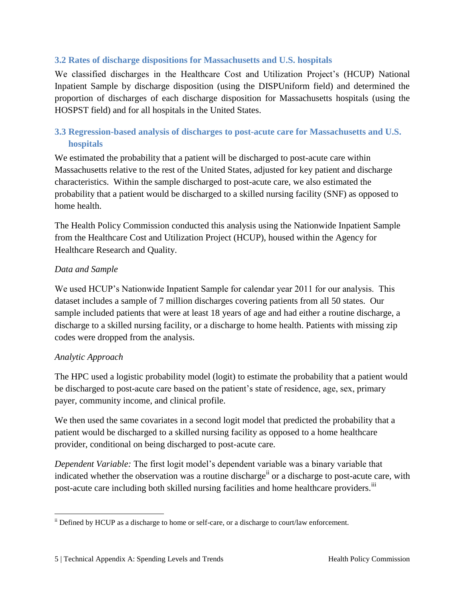#### <span id="page-6-0"></span>**3.2 Rates of discharge dispositions for Massachusetts and U.S. hospitals**

We classified discharges in the Healthcare Cost and Utilization Project's (HCUP) National Inpatient Sample by discharge disposition (using the DISPUniform field) and determined the proportion of discharges of each discharge disposition for Massachusetts hospitals (using the HOSPST field) and for all hospitals in the United States.

## <span id="page-6-1"></span>**3.3 Regression-based analysis of discharges to post-acute care for Massachusetts and U.S. hospitals**

We estimated the probability that a patient will be discharged to post-acute care within Massachusetts relative to the rest of the United States, adjusted for key patient and discharge characteristics. Within the sample discharged to post-acute care, we also estimated the probability that a patient would be discharged to a skilled nursing facility (SNF) as opposed to home health.

The Health Policy Commission conducted this analysis using the Nationwide Inpatient Sample from the Healthcare Cost and Utilization Project (HCUP), housed within the Agency for Healthcare Research and Quality.

#### *Data and Sample*

We used HCUP's Nationwide Inpatient Sample for calendar year 2011 for our analysis. This dataset includes a sample of 7 million discharges covering patients from all 50 states. Our sample included patients that were at least 18 years of age and had either a routine discharge, a discharge to a skilled nursing facility, or a discharge to home health. Patients with missing zip codes were dropped from the analysis.

#### *Analytic Approach*

 $\overline{a}$ 

The HPC used a logistic probability model (logit) to estimate the probability that a patient would be discharged to post-acute care based on the patient's state of residence, age, sex, primary payer, community income, and clinical profile.

We then used the same covariates in a second logit model that predicted the probability that a patient would be discharged to a skilled nursing facility as opposed to a home healthcare provider, conditional on being discharged to post-acute care.

*Dependent Variable:* The first logit model's dependent variable was a binary variable that indicated whether the observation was a routine discharge<sup>ii</sup> or a discharge to post-acute care, with post-acute care including both skilled nursing facilities and home healthcare providers.<sup>iii</sup>

ii Defined by HCUP as a discharge to home or self-care, or a discharge to court/law enforcement.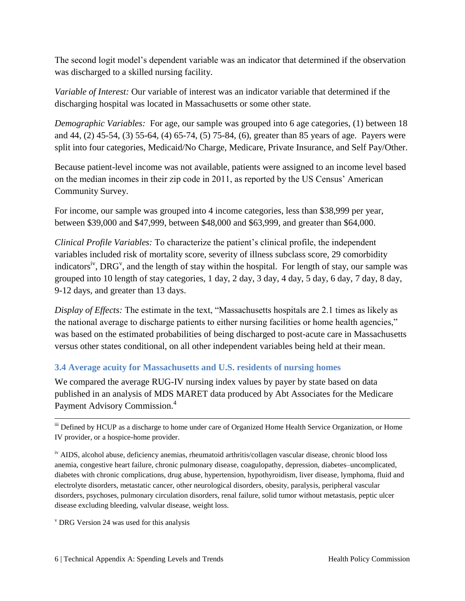The second logit model's dependent variable was an indicator that determined if the observation was discharged to a skilled nursing facility.

*Variable of Interest:* Our variable of interest was an indicator variable that determined if the discharging hospital was located in Massachusetts or some other state.

*Demographic Variables:* For age, our sample was grouped into 6 age categories, (1) between 18 and 44, (2) 45-54, (3) 55-64, (4) 65-74, (5) 75-84, (6), greater than 85 years of age. Payers were split into four categories, Medicaid/No Charge, Medicare, Private Insurance, and Self Pay/Other.

Because patient-level income was not available, patients were assigned to an income level based on the median incomes in their zip code in 2011, as reported by the US Census' American Community Survey.

For income, our sample was grouped into 4 income categories, less than \$38,999 per year, between \$39,000 and \$47,999, between \$48,000 and \$63,999, and greater than \$64,000.

*Clinical Profile Variables:* To characterize the patient's clinical profile, the independent variables included risk of mortality score, severity of illness subclass score, 29 comorbidity indicators<sup>iv</sup>, DRG<sup>v</sup>, and the length of stay within the hospital. For length of stay, our sample was grouped into 10 length of stay categories, 1 day, 2 day, 3 day, 4 day, 5 day, 6 day, 7 day, 8 day, 9-12 days, and greater than 13 days.

*Display of Effects:* The estimate in the text, "Massachusetts hospitals are 2.1 times as likely as the national average to discharge patients to either nursing facilities or home health agencies," was based on the estimated probabilities of being discharged to post-acute care in Massachusetts versus other states conditional, on all other independent variables being held at their mean.

#### <span id="page-7-0"></span>**3.4 Average acuity for Massachusetts and U.S. residents of nursing homes**

We compared the average RUG-IV nursing index values by payer by state based on data published in an analysis of MDS MARET data produced by Abt Associates for the Medicare Payment Advisory Commission.<sup>4</sup>

iii Defined by HCUP as a discharge to home under care of Organized Home Health Service Organization, or Home IV provider, or a hospice-home provider.

iv AIDS, alcohol abuse, deficiency anemias, rheumatoid arthritis/collagen vascular disease, chronic blood loss anemia, congestive heart failure, chronic pulmonary disease, coagulopathy, depression, diabetes–uncomplicated, diabetes with chronic complications, drug abuse, hypertension, hypothyroidism, liver disease, lymphoma, fluid and electrolyte disorders, metastatic cancer, other neurological disorders, obesity, paralysis, peripheral vascular disorders, psychoses, pulmonary circulation disorders, renal failure, solid tumor without metastasis, peptic ulcer disease excluding bleeding, valvular disease, weight loss.

 $\rm v$  DRG Version 24 was used for this analysis

 $\overline{a}$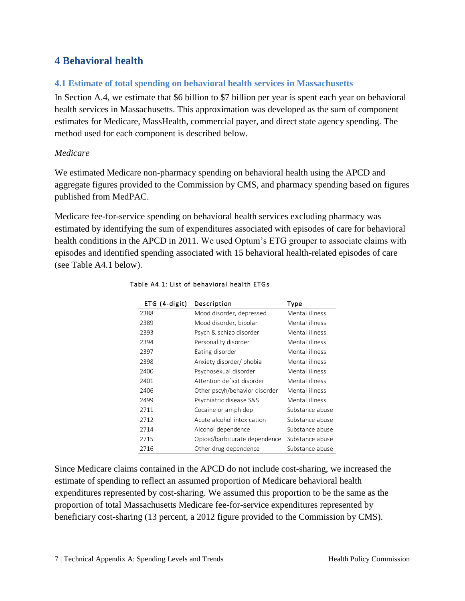# <span id="page-8-0"></span>**4 Behavioral health**

#### <span id="page-8-1"></span>**4.1 Estimate of total spending on behavioral health services in Massachusetts**

In Section A.4, we estimate that \$6 billion to \$7 billion per year is spent each year on behavioral health services in Massachusetts. This approximation was developed as the sum of component estimates for Medicare, MassHealth, commercial payer, and direct state agency spending. The method used for each component is described below.

#### *Medicare*

We estimated Medicare non-pharmacy spending on behavioral health using the APCD and aggregate figures provided to the Commission by CMS, and pharmacy spending based on figures published from MedPAC.

Medicare fee-for-service spending on behavioral health services excluding pharmacy was estimated by identifying the sum of expenditures associated with episodes of care for behavioral health conditions in the APCD in 2011. We used Optum's ETG grouper to associate claims with episodes and identified spending associated with 15 behavioral health-related episodes of care (see Table A4.1 below).

| ETG (4-digit) | Description                   | Type            |
|---------------|-------------------------------|-----------------|
| 2388          | Mood disorder, depressed      | Mental illness  |
| 2389          | Mood disorder, bipolar        | Mental illness  |
| 2393          | Psych & schizo disorder       | Mental illness  |
| 2394          | Personality disorder          | Mental illness  |
| 2397          | Eating disorder               | Mental illness  |
| 2398          | Anxiety disorder/ phobia      | Mental illness  |
| 2400          | Psychosexual disorder         | Mental illness  |
| 2401          | Attention deficit disorder    | Mental illness  |
| 2406          | Other pscyh/behavior disorder | Mental illness  |
| 2499          | Psychiatric disease S&S       | Mental illness  |
| 2711          | Cocaine or amph dep           | Substance abuse |
| 2712          | Acute alcohol intoxication    | Substance abuse |
| 2714          | Alcohol dependence            | Substance abuse |
| 2715          | Opioid/barbiturate dependence | Substance abuse |
| 2716          | Other drug dependence         | Substance abuse |

#### Table A4.1: List of behavioral health ETGs

Since Medicare claims contained in the APCD do not include cost-sharing, we increased the estimate of spending to reflect an assumed proportion of Medicare behavioral health expenditures represented by cost-sharing. We assumed this proportion to be the same as the proportion of total Massachusetts Medicare fee-for-service expenditures represented by beneficiary cost-sharing (13 percent, a 2012 figure provided to the Commission by CMS).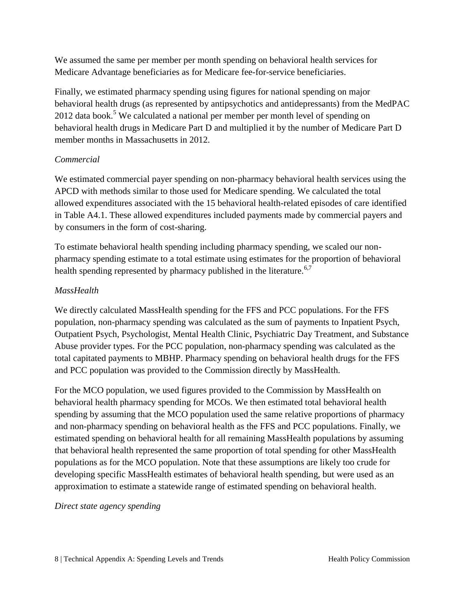We assumed the same per member per month spending on behavioral health services for Medicare Advantage beneficiaries as for Medicare fee-for-service beneficiaries.

Finally, we estimated pharmacy spending using figures for national spending on major behavioral health drugs (as represented by antipsychotics and antidepressants) from the MedPAC 2012 data book.<sup>5</sup> We calculated a national per member per month level of spending on behavioral health drugs in Medicare Part D and multiplied it by the number of Medicare Part D member months in Massachusetts in 2012.

#### *Commercial*

We estimated commercial payer spending on non-pharmacy behavioral health services using the APCD with methods similar to those used for Medicare spending. We calculated the total allowed expenditures associated with the 15 behavioral health-related episodes of care identified in Table A4.1. These allowed expenditures included payments made by commercial payers and by consumers in the form of cost-sharing.

To estimate behavioral health spending including pharmacy spending, we scaled our nonpharmacy spending estimate to a total estimate using estimates for the proportion of behavioral health spending represented by pharmacy published in the literature.<sup>6,7</sup>

#### *MassHealth*

We directly calculated MassHealth spending for the FFS and PCC populations. For the FFS population, non-pharmacy spending was calculated as the sum of payments to Inpatient Psych, Outpatient Psych, Psychologist, Mental Health Clinic, Psychiatric Day Treatment, and Substance Abuse provider types. For the PCC population, non-pharmacy spending was calculated as the total capitated payments to MBHP. Pharmacy spending on behavioral health drugs for the FFS and PCC population was provided to the Commission directly by MassHealth.

For the MCO population, we used figures provided to the Commission by MassHealth on behavioral health pharmacy spending for MCOs. We then estimated total behavioral health spending by assuming that the MCO population used the same relative proportions of pharmacy and non-pharmacy spending on behavioral health as the FFS and PCC populations. Finally, we estimated spending on behavioral health for all remaining MassHealth populations by assuming that behavioral health represented the same proportion of total spending for other MassHealth populations as for the MCO population. Note that these assumptions are likely too crude for developing specific MassHealth estimates of behavioral health spending, but were used as an approximation to estimate a statewide range of estimated spending on behavioral health.

*Direct state agency spending*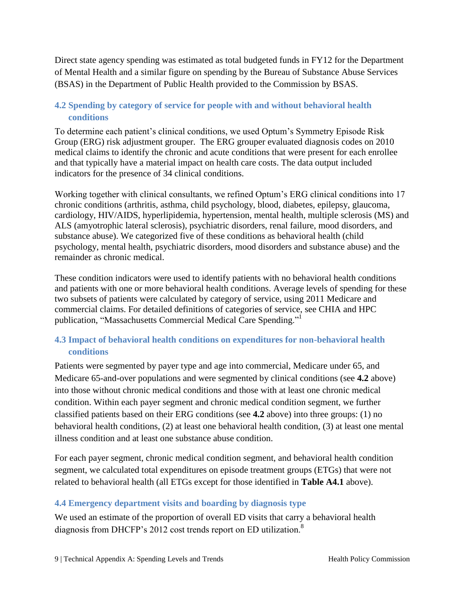Direct state agency spending was estimated as total budgeted funds in FY12 for the Department of Mental Health and a similar figure on spending by the Bureau of Substance Abuse Services (BSAS) in the Department of Public Health provided to the Commission by BSAS.

# <span id="page-10-0"></span>**4.2 Spending by category of service for people with and without behavioral health conditions**

To determine each patient's clinical conditions, we used Optum's Symmetry Episode Risk Group (ERG) risk adjustment grouper. The ERG grouper evaluated diagnosis codes on 2010 medical claims to identify the chronic and acute conditions that were present for each enrollee and that typically have a material impact on health care costs. The data output included indicators for the presence of 34 clinical conditions.

Working together with clinical consultants, we refined Optum's ERG clinical conditions into 17 chronic conditions (arthritis, asthma, child psychology, blood, diabetes, epilepsy, glaucoma, cardiology, HIV/AIDS, hyperlipidemia, hypertension, mental health, multiple sclerosis (MS) and ALS (amyotrophic lateral sclerosis), psychiatric disorders, renal failure, mood disorders, and substance abuse). We categorized five of these conditions as behavioral health (child psychology, mental health, psychiatric disorders, mood disorders and substance abuse) and the remainder as chronic medical.

These condition indicators were used to identify patients with no behavioral health conditions and patients with one or more behavioral health conditions. Average levels of spending for these two subsets of patients were calculated by category of service, using 2011 Medicare and commercial claims. For detailed definitions of categories of service, see CHIA and HPC publication, "Massachusetts Commercial Medical Care Spending.["](#page-2-2)<sup>1</sup>

## <span id="page-10-1"></span>**4.3 Impact of behavioral health conditions on expenditures for non-behavioral health conditions**

Patients were segmented by payer type and age into commercial, Medicare under 65, and Medicare 65-and-over populations and were segmented by clinical conditions (see **4.2** above) into those without chronic medical conditions and those with at least one chronic medical condition. Within each payer segment and chronic medical condition segment, we further classified patients based on their ERG conditions (see **4.2** above) into three groups: (1) no behavioral health conditions, (2) at least one behavioral health condition, (3) at least one mental illness condition and at least one substance abuse condition.

For each payer segment, chronic medical condition segment, and behavioral health condition segment, we calculated total expenditures on episode treatment groups (ETGs) that were not related to behavioral health (all ETGs except for those identified in **Table A4.1** above).

#### <span id="page-10-2"></span>**4.4 Emergency department visits and boarding by diagnosis type**

We used an estimate of the proportion of overall ED visits that carry a behavioral health diagnosis from DHCFP's 2012 cost trends report on ED utilization.<sup>8</sup>